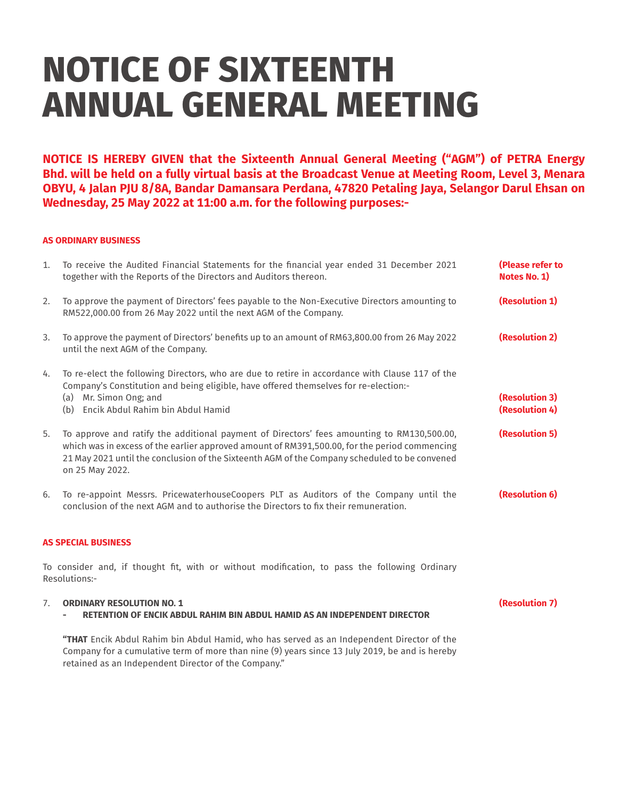**NOTICE IS HEREBY GIVEN that the Sixteenth Annual General Meeting ("AGM") of PETRA Energy Bhd. will be held on a fully virtual basis at the Broadcast Venue at Meeting Room, Level 3, Menara OBYU, 4 Jalan PJU 8/8A, Bandar Damansara Perdana, 47820 Petaling Jaya, Selangor Darul Ehsan on Wednesday, 25 May 2022 at 11:00 a.m. for the following purposes:-**

### **AS ORDINARY BUSINESS**

| 1.                                                                                                             | To receive the Audited Financial Statements for the financial year ended 31 December 2021<br>together with the Reports of the Directors and Auditors thereon.                                                                                                                                                   | (Please refer to<br>Notes No. 1) |
|----------------------------------------------------------------------------------------------------------------|-----------------------------------------------------------------------------------------------------------------------------------------------------------------------------------------------------------------------------------------------------------------------------------------------------------------|----------------------------------|
| 2.                                                                                                             | To approve the payment of Directors' fees payable to the Non-Executive Directors amounting to<br>RM522,000.00 from 26 May 2022 until the next AGM of the Company.                                                                                                                                               | (Resolution 1)                   |
| 3.                                                                                                             | To approve the payment of Directors' benefits up to an amount of RM63,800.00 from 26 May 2022<br>until the next AGM of the Company.                                                                                                                                                                             | (Resolution 2)                   |
| 4.                                                                                                             | To re-elect the following Directors, who are due to retire in accordance with Clause 117 of the<br>Company's Constitution and being eligible, have offered themselves for re-election:-<br>(a) Mr. Simon Ong; and<br>(b) Encik Abdul Rahim bin Abdul Hamid                                                      | (Resolution 3)<br>(Resolution 4) |
| 5.                                                                                                             | To approve and ratify the additional payment of Directors' fees amounting to RM130,500.00,<br>which was in excess of the earlier approved amount of RM391,500.00, for the period commencing<br>21 May 2021 until the conclusion of the Sixteenth AGM of the Company scheduled to be convened<br>on 25 May 2022. | (Resolution 5)                   |
| 6.                                                                                                             | To re-appoint Messrs. PricewaterhouseCoopers PLT as Auditors of the Company until the<br>conclusion of the next AGM and to authorise the Directors to fix their remuneration.                                                                                                                                   | (Resolution 6)                   |
| <b>AS SPECIAL BUSINESS</b>                                                                                     |                                                                                                                                                                                                                                                                                                                 |                                  |
| To consider and, if thought fit, with or without modification, to pass the following Ordinary<br>Resolutions:- |                                                                                                                                                                                                                                                                                                                 |                                  |
| 7 <sub>1</sub>                                                                                                 | <b>ORDINARY RESOLUTION NO. 1</b><br>RETENTION OF ENCIK ABDUL RAHIM BIN ABDUL HAMID AS AN INDEPENDENT DIRECTOR                                                                                                                                                                                                   | (Resolution 7)                   |

 **"THAT** Encik Abdul Rahim bin Abdul Hamid, who has served as an Independent Director of the Company for a cumulative term of more than nine (9) years since 13 July 2019, be and is hereby retained as an Independent Director of the Company."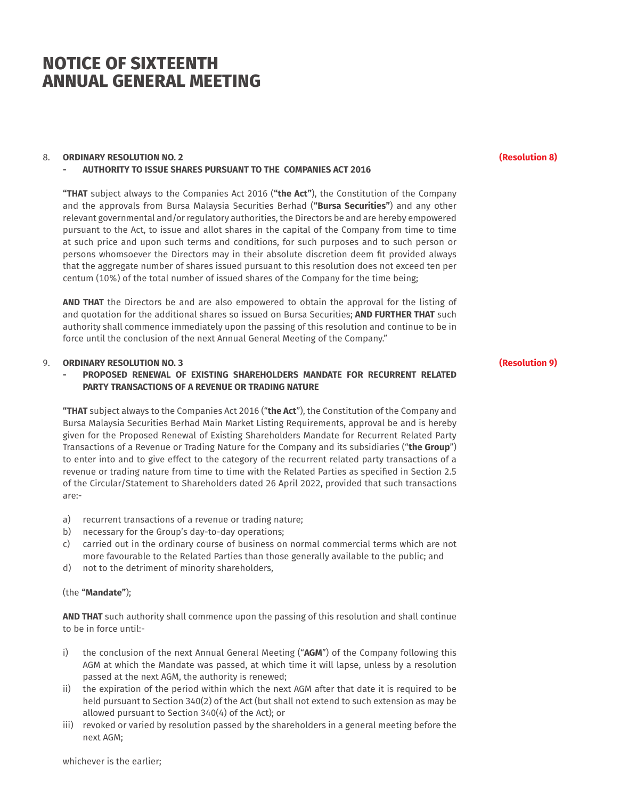### 8. **ORDINARY RESOLUTION NO. 2**

#### **- AUTHORITY TO ISSUE SHARES PURSUANT TO THE COMPANIES ACT 2016**

**"THAT** subject always to the Companies Act 2016 (**"the Act"**), the Constitution of the Company and the approvals from Bursa Malaysia Securities Berhad (**"Bursa Securities"**) and any other relevant governmental and/or regulatory authorities, the Directors be and are hereby empowered pursuant to the Act, to issue and allot shares in the capital of the Company from time to time at such price and upon such terms and conditions, for such purposes and to such person or persons whomsoever the Directors may in their absolute discretion deem fit provided always that the aggregate number of shares issued pursuant to this resolution does not exceed ten per centum (10%) of the total number of issued shares of the Company for the time being;

 **AND THAT** the Directors be and are also empowered to obtain the approval for the listing of and quotation for the additional shares so issued on Bursa Securities; **AND FURTHER THAT** such authority shall commence immediately upon the passing of this resolution and continue to be in force until the conclusion of the next Annual General Meeting of the Company."

### 9. **ORDINARY RESOLUTION NO. 3**

**PROPOSED RENEWAL OF EXISTING SHAREHOLDERS MANDATE FOR RECURRENT RELATED PARTY TRANSACTIONS OF A REVENUE OR TRADING NATURE**

**"THAT** subject always to the Companies Act 2016 ("**the Act**"), the Constitution of the Company and Bursa Malaysia Securities Berhad Main Market Listing Requirements, approval be and is hereby given for the Proposed Renewal of Existing Shareholders Mandate for Recurrent Related Party Transactions of a Revenue or Trading Nature for the Company and its subsidiaries ("**the Group**") to enter into and to give effect to the category of the recurrent related party transactions of a revenue or trading nature from time to time with the Related Parties as specified in Section 2.5 of the Circular/Statement to Shareholders dated 26 April 2022, provided that such transactions are:-

- a) recurrent transactions of a revenue or trading nature;
- b) necessary for the Group's day-to-day operations;
- c) carried out in the ordinary course of business on normal commercial terms which are not more favourable to the Related Parties than those generally available to the public; and
- d) not to the detriment of minority shareholders,

#### (the **"Mandate"**);

 **AND THAT** such authority shall commence upon the passing of this resolution and shall continue to be in force until:-

- i) the conclusion of the next Annual General Meeting ("**AGM**") of the Company following this AGM at which the Mandate was passed, at which time it will lapse, unless by a resolution passed at the next AGM, the authority is renewed;
- ii) the expiration of the period within which the next AGM after that date it is required to be held pursuant to Section 340(2) of the Act (but shall not extend to such extension as may be allowed pursuant to Section 340(4) of the Act); or
- iii) revoked or varied by resolution passed by the shareholders in a general meeting before the next AGM;

### **(Resolution 8)**

**(Resolution 9)**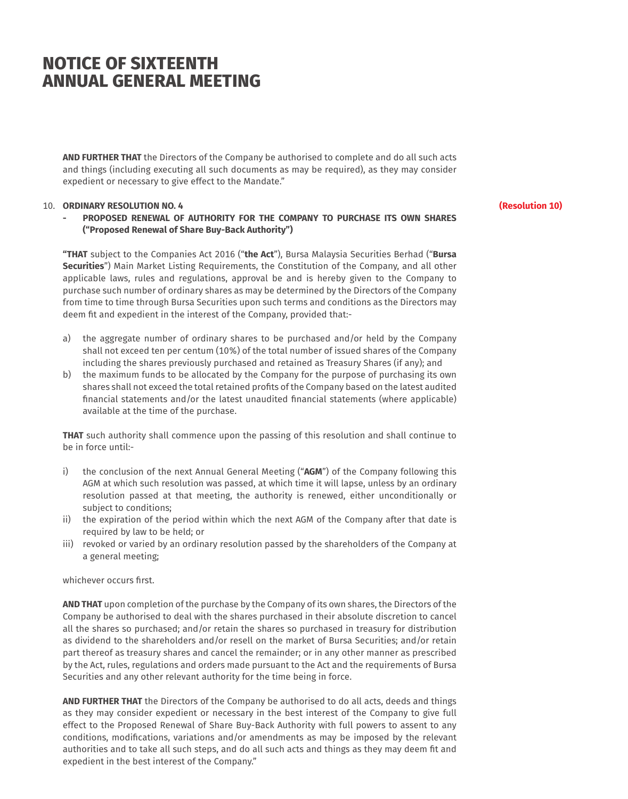**AND FURTHER THAT** the Directors of the Company be authorised to complete and do all such acts and things (including executing all such documents as may be required), as they may consider expedient or necessary to give effect to the Mandate."

#### 10. **ORDINARY RESOLUTION NO. 4**

**- PROPOSED RENEWAL OF AUTHORITY FOR THE COMPANY TO PURCHASE ITS OWN SHARES ("Proposed Renewal of Share Buy-Back Authority")**

**"THAT** subject to the Companies Act 2016 ("**the Act**"), Bursa Malaysia Securities Berhad ("**Bursa Securities**") Main Market Listing Requirements, the Constitution of the Company, and all other applicable laws, rules and regulations, approval be and is hereby given to the Company to purchase such number of ordinary shares as may be determined by the Directors of the Company from time to time through Bursa Securities upon such terms and conditions as the Directors may deem fit and expedient in the interest of the Company, provided that:-

- a) the aggregate number of ordinary shares to be purchased and/or held by the Company shall not exceed ten per centum (10%) of the total number of issued shares of the Company including the shares previously purchased and retained as Treasury Shares (if any); and
- b) the maximum funds to be allocated by the Company for the purpose of purchasing its own shares shall not exceed the total retained profits of the Company based on the latest audited financial statements and/or the latest unaudited financial statements (where applicable) available at the time of the purchase.

**THAT** such authority shall commence upon the passing of this resolution and shall continue to be in force until:-

- i) the conclusion of the next Annual General Meeting ("**AGM**") of the Company following this AGM at which such resolution was passed, at which time it will lapse, unless by an ordinary resolution passed at that meeting, the authority is renewed, either unconditionally or subject to conditions;
- ii) the expiration of the period within which the next AGM of the Company after that date is required by law to be held; or
- iii) revoked or varied by an ordinary resolution passed by the shareholders of the Company at a general meeting;

whichever occurs first.

 **AND THAT** upon completion of the purchase by the Company of its own shares, the Directors of the Company be authorised to deal with the shares purchased in their absolute discretion to cancel all the shares so purchased; and/or retain the shares so purchased in treasury for distribution as dividend to the shareholders and/or resell on the market of Bursa Securities; and/or retain part thereof as treasury shares and cancel the remainder; or in any other manner as prescribed by the Act, rules, regulations and orders made pursuant to the Act and the requirements of Bursa Securities and any other relevant authority for the time being in force.

 **AND FURTHER THAT** the Directors of the Company be authorised to do all acts, deeds and things as they may consider expedient or necessary in the best interest of the Company to give full effect to the Proposed Renewal of Share Buy-Back Authority with full powers to assent to any conditions, modifications, variations and/or amendments as may be imposed by the relevant authorities and to take all such steps, and do all such acts and things as they may deem fit and expedient in the best interest of the Company."

**(Resolution 10)**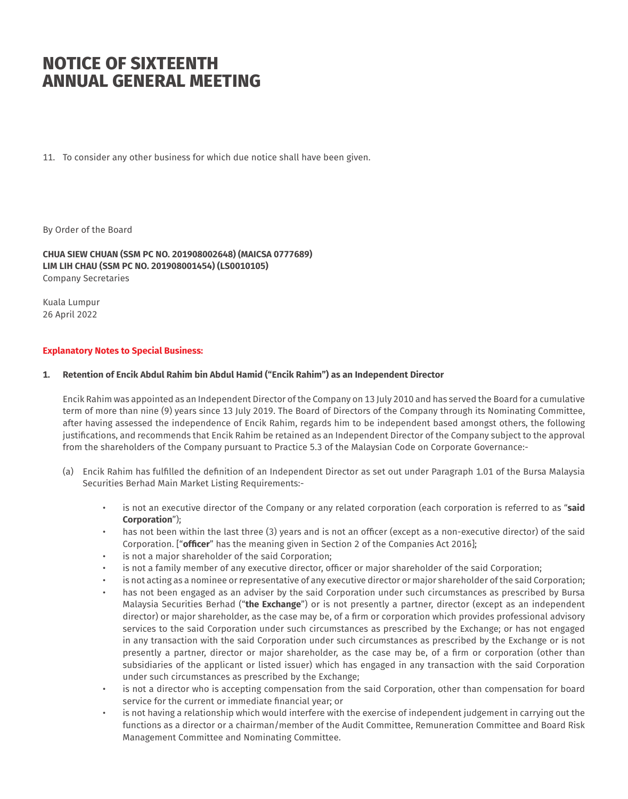11. To consider any other business for which due notice shall have been given.

By Order of the Board

**CHUA SIEW CHUAN (SSM PC NO. 201908002648) (MAICSA 0777689) LIM LIH CHAU (SSM PC NO. 201908001454) (LS0010105)** Company Secretaries

Kuala Lumpur 26 April 2022

### **Explanatory Notes to Special Business:**

#### **1. Retention of Encik Abdul Rahim bin Abdul Hamid ("Encik Rahim") as an Independent Director**

 Encik Rahim was appointed as an Independent Director of the Company on 13 July 2010 and has served the Board for a cumulative term of more than nine (9) years since 13 July 2019. The Board of Directors of the Company through its Nominating Committee, after having assessed the independence of Encik Rahim, regards him to be independent based amongst others, the following justifications, and recommends that Encik Rahim be retained as an Independent Director of the Company subject to the approval from the shareholders of the Company pursuant to Practice 5.3 of the Malaysian Code on Corporate Governance:-

- (a) Encik Rahim has fulfilled the definition of an Independent Director as set out under Paragraph 1.01 of the Bursa Malaysia Securities Berhad Main Market Listing Requirements:-
	- • is not an executive director of the Company or any related corporation (each corporation is referred to as "**said Corporation**");
	- has not been within the last three (3) years and is not an officer (except as a non-executive director) of the said Corporation. ["**officer**" has the meaning given in Section 2 of the Companies Act 2016];
	- is not a major shareholder of the said Corporation;
	- is not a family member of any executive director, officer or major shareholder of the said Corporation;
	- is not acting as a nominee or representative of any executive director or major shareholder of the said Corporation;
	- has not been engaged as an adviser by the said Corporation under such circumstances as prescribed by Bursa Malaysia Securities Berhad ("**the Exchange**") or is not presently a partner, director (except as an independent director) or major shareholder, as the case may be, of a firm or corporation which provides professional advisory services to the said Corporation under such circumstances as prescribed by the Exchange; or has not engaged in any transaction with the said Corporation under such circumstances as prescribed by the Exchange or is not presently a partner, director or major shareholder, as the case may be, of a firm or corporation (other than subsidiaries of the applicant or listed issuer) which has engaged in any transaction with the said Corporation under such circumstances as prescribed by the Exchange;
	- • is not a director who is accepting compensation from the said Corporation, other than compensation for board service for the current or immediate financial year; or
	- is not having a relationship which would interfere with the exercise of independent judgement in carrying out the functions as a director or a chairman/member of the Audit Committee, Remuneration Committee and Board Risk Management Committee and Nominating Committee.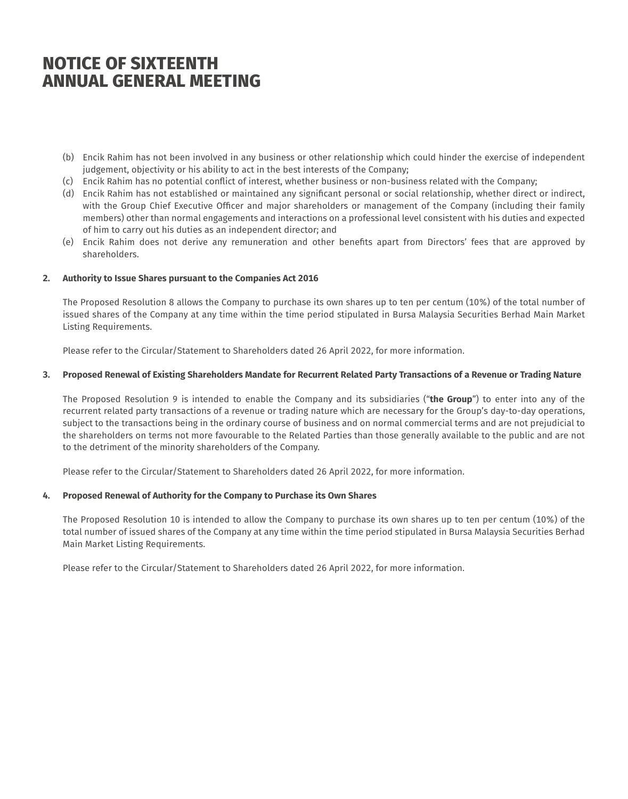- (b) Encik Rahim has not been involved in any business or other relationship which could hinder the exercise of independent judgement, objectivity or his ability to act in the best interests of the Company;
- (c) Encik Rahim has no potential conflict of interest, whether business or non-business related with the Company;
- (d) Encik Rahim has not established or maintained any significant personal or social relationship, whether direct or indirect, with the Group Chief Executive Officer and major shareholders or management of the Company (including their family members) other than normal engagements and interactions on a professional level consistent with his duties and expected of him to carry out his duties as an independent director; and
- (e) Encik Rahim does not derive any remuneration and other benefits apart from Directors' fees that are approved by shareholders.

### **2. Authority to Issue Shares pursuant to the Companies Act 2016**

 The Proposed Resolution 8 allows the Company to purchase its own shares up to ten per centum (10%) of the total number of issued shares of the Company at any time within the time period stipulated in Bursa Malaysia Securities Berhad Main Market Listing Requirements.

Please refer to the Circular/Statement to Shareholders dated 26 April 2022, for more information.

### **3. Proposed Renewal of Existing Shareholders Mandate for Recurrent Related Party Transactions of a Revenue or Trading Nature**

 The Proposed Resolution 9 is intended to enable the Company and its subsidiaries ("**the Group**") to enter into any of the recurrent related party transactions of a revenue or trading nature which are necessary for the Group's day-to-day operations, subject to the transactions being in the ordinary course of business and on normal commercial terms and are not prejudicial to the shareholders on terms not more favourable to the Related Parties than those generally available to the public and are not to the detriment of the minority shareholders of the Company.

Please refer to the Circular/Statement to Shareholders dated 26 April 2022, for more information.

### **4. Proposed Renewal of Authority for the Company to Purchase its Own Shares**

 The Proposed Resolution 10 is intended to allow the Company to purchase its own shares up to ten per centum (10%) of the total number of issued shares of the Company at any time within the time period stipulated in Bursa Malaysia Securities Berhad Main Market Listing Requirements.

Please refer to the Circular/Statement to Shareholders dated 26 April 2022, for more information.